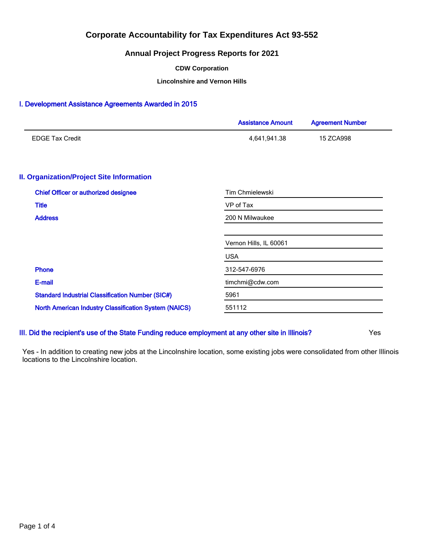## **Annual Project Progress Reports for 2021**

#### **CDW Corporation**

**Lincolnshire and Vernon Hills**

## I. Development Assistance Agreements Awarded in 2015

|                                                              | <b>Assistance Amount</b> | <b>Agreement Number</b> |  |  |
|--------------------------------------------------------------|--------------------------|-------------------------|--|--|
| <b>EDGE Tax Credit</b>                                       | 4,641,941.38             | 15 ZCA998               |  |  |
| <b>II. Organization/Project Site Information</b>             |                          |                         |  |  |
| <b>Chief Officer or authorized designee</b>                  | <b>Tim Chmielewski</b>   |                         |  |  |
| <b>Title</b>                                                 | VP of Tax                |                         |  |  |
| <b>Address</b>                                               | 200 N Milwaukee          |                         |  |  |
|                                                              | Vernon Hills, IL 60061   |                         |  |  |
|                                                              | <b>USA</b>               |                         |  |  |
| <b>Phone</b>                                                 | 312-547-6976             |                         |  |  |
| E-mail                                                       | timchmi@cdw.com          |                         |  |  |
| <b>Standard Industrial Classification Number (SIC#)</b>      | 5961                     |                         |  |  |
| <b>North American Industry Classification System (NAICS)</b> | 551112                   |                         |  |  |
|                                                              |                          |                         |  |  |

III. Did the recipient's use of the State Funding reduce employment at any other site in Illinois? Yes

Yes - In addition to creating new jobs at the Lincolnshire location, some existing jobs were consolidated from other Illinois locations to the Lincolnshire location.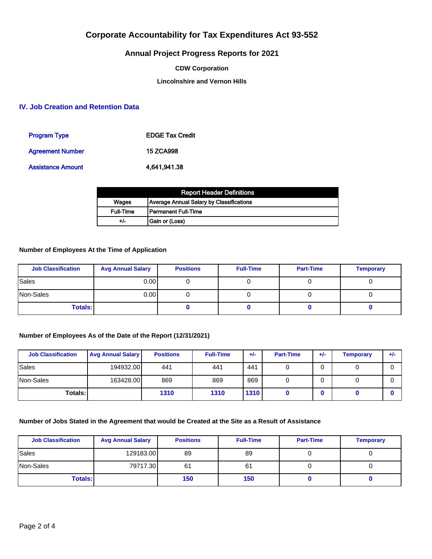## **Annual Project Progress Reports for 2021**

### **CDW Corporation**

## **Lincolnshire and Vernon Hills**

## **IV. Job Creation and Retention Data**

| <b>Program Type</b>      | <b>EDGE Tax Credit</b> |
|--------------------------|------------------------|
| <b>Agreement Number</b>  | <b>15 ZCA998</b>       |
| <b>Assistance Amount</b> | 4,641,941.38           |

| <b>Report Header Definitions</b> |                                          |  |  |  |
|----------------------------------|------------------------------------------|--|--|--|
| Wages                            | Average Annual Salary by Classifications |  |  |  |
| <b>Full-Time</b>                 | l Permanent Full-Time                    |  |  |  |
| $+/-$                            | Gain or (Loss)                           |  |  |  |

## **Number of Employees At the Time of Application**

| <b>Job Classification</b> | <b>Avg Annual Salary</b> | <b>Positions</b> | <b>Full-Time</b> | <b>Part-Time</b> | <b>Temporary</b> |
|---------------------------|--------------------------|------------------|------------------|------------------|------------------|
| Sales                     | 0.001                    |                  |                  |                  |                  |
| Non-Sales                 | 0.00 <sub>l</sub>        |                  |                  |                  |                  |
| <b>Totals:</b>            |                          |                  |                  |                  |                  |

## **Number of Employees As of the Date of the Report (12/31/2021)**

| <b>Job Classification</b> | <b>Avg Annual Salary</b> | <b>Positions</b> | <b>Full-Time</b> | $+/-$ | <b>Part-Time</b> | $+/-$ | <b>Temporary</b> | $+/-$ |
|---------------------------|--------------------------|------------------|------------------|-------|------------------|-------|------------------|-------|
| Sales                     | 194932.00                | 441              | 441              | 441   |                  | 0     |                  |       |
| Non-Sales                 | 163428.00                | 869              | 869              | 869   |                  | 0     |                  |       |
| Totals: I                 |                          | 1310             | 1310             | 1310  |                  |       |                  |       |

## **Number of Jobs Stated in the Agreement that would be Created at the Site as a Result of Assistance**

| <b>Job Classification</b> | <b>Avg Annual Salary</b> | <b>Positions</b> | <b>Full-Time</b> | <b>Part-Time</b> | <b>Temporary</b> |
|---------------------------|--------------------------|------------------|------------------|------------------|------------------|
| Sales                     | 129183.00                | 89               | 89               |                  |                  |
| Non-Sales                 | 79717.30                 | 61               | 61               |                  |                  |
| <b>Totals:</b>            |                          | 150              | 150              |                  |                  |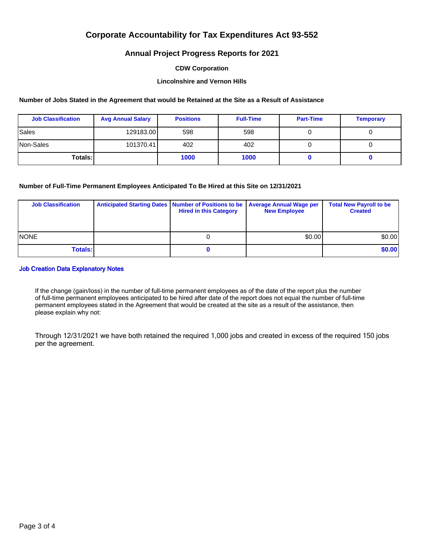## **Annual Project Progress Reports for 2021**

### **CDW Corporation**

## **Lincolnshire and Vernon Hills**

### **Number of Jobs Stated in the Agreement that would be Retained at the Site as a Result of Assistance**

| <b>Job Classification</b> | <b>Avg Annual Salary</b> | <b>Positions</b> | <b>Full-Time</b> | <b>Part-Time</b> | <b>Temporary</b> |
|---------------------------|--------------------------|------------------|------------------|------------------|------------------|
| Sales                     | 129183.00                | 598              | 598              |                  |                  |
| Non-Sales                 | 101370.41                | 402              | 402              |                  |                  |
| Totals: I                 |                          | 1000             | 1000             |                  |                  |

## **Number of Full-Time Permanent Employees Anticipated To Be Hired at this Site on 12/31/2021**

| <b>Job Classification</b> | Anticipated Starting Dates   Number of Positions to be   Average Annual Wage per<br><b>Hired in this Category</b> | <b>New Employee</b> | <b>Total New Payroll to be</b><br><b>Created</b> |
|---------------------------|-------------------------------------------------------------------------------------------------------------------|---------------------|--------------------------------------------------|
| <b>NONE</b>               |                                                                                                                   | \$0.00              | \$0.00                                           |
| <b>Totals:</b>            |                                                                                                                   |                     | \$0.00                                           |

#### Job Creation Data Explanatory Notes

If the change (gain/loss) in the number of full-time permanent employees as of the date of the report plus the number of full-time permanent employees anticipated to be hired after date of the report does not equal the number of full-time permanent employees stated in the Agreement that would be created at the site as a result of the assistance, then please explain why not:

Through 12/31/2021 we have both retained the required 1,000 jobs and created in excess of the required 150 jobs per the agreement.